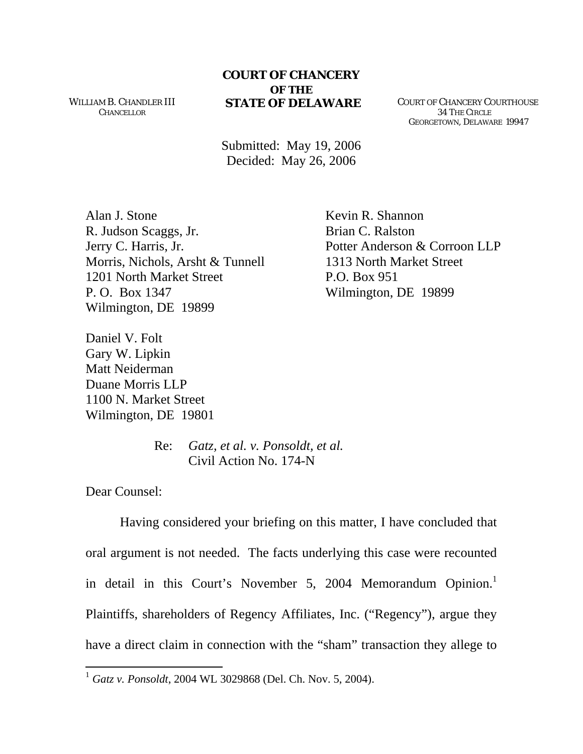## **COURT OF CHANCERY OF THE**

**STATE OF DELAWARE** COURT OF CHANCERY COURTHOUSE 34 THE CIRCLE GEORGETOWN, DELAWARE 19947

Submitted: May 19, 2006 Decided: May 26, 2006

Alan J. Stone R. Judson Scaggs, Jr. Jerry C. Harris, Jr. Morris, Nichols, Arsht & Tunnell 1201 North Market Street P. O. Box 1347 Wilmington, DE 19899

Kevin R. Shannon Brian C. Ralston Potter Anderson & Corroon LLP 1313 North Market Street P.O. Box 951 Wilmington, DE 19899

Daniel V. Folt Gary W. Lipkin Matt Neiderman Duane Morris LLP 1100 N. Market Street Wilmington, DE 19801

> Re: *Gatz, et al. v. Ponsoldt, et al.*  Civil Action No. 174-N

Dear Counsel:

 $\overline{a}$ 

Having considered your briefing on this matter, I have concluded that oral argument is not needed. The facts underlying this case were recounted in detail in this Court's November 5, 2004 Memorandum Opinion.<sup>[1](#page-0-0)</sup> Plaintiffs, shareholders of Regency Affiliates, Inc. ("Regency"), argue they have a direct claim in connection with the "sham" transaction they allege to

<span id="page-0-0"></span><sup>1</sup> *Gatz v. Ponsoldt*, 2004 WL 3029868 (Del. Ch. Nov. 5, 2004).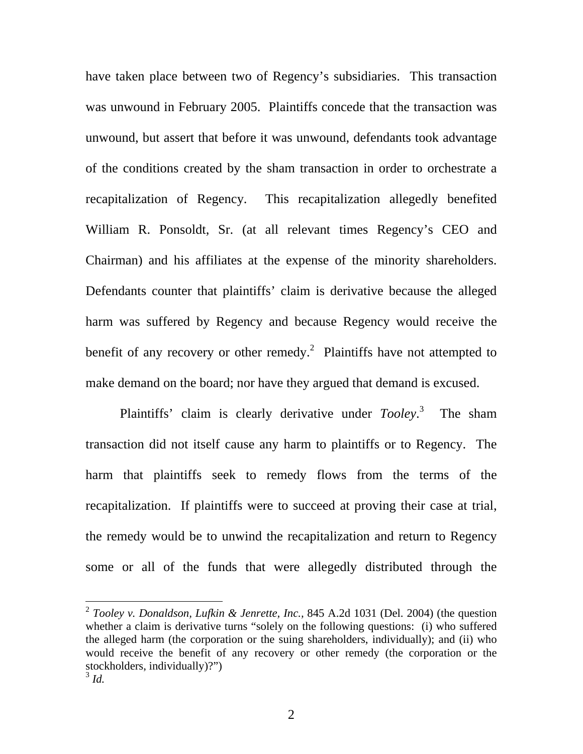have taken place between two of Regency's subsidiaries. This transaction was unwound in February 2005. Plaintiffs concede that the transaction was unwound, but assert that before it was unwound, defendants took advantage of the conditions created by the sham transaction in order to orchestrate a recapitalization of Regency. This recapitalization allegedly benefited William R. Ponsoldt, Sr. (at all relevant times Regency's CEO and Chairman) and his affiliates at the expense of the minority shareholders. Defendants counter that plaintiffs' claim is derivative because the alleged harm was suffered by Regency and because Regency would receive the benefit of any recovery or other remedy.<sup>[2](#page-1-0)</sup> Plaintiffs have not attempted to make demand on the board; nor have they argued that demand is excused.

Plaintiffs' claim is clearly derivative under *Tooley*. [3](#page-1-1) The sham transaction did not itself cause any harm to plaintiffs or to Regency. The harm that plaintiffs seek to remedy flows from the terms of the recapitalization. If plaintiffs were to succeed at proving their case at trial, the remedy would be to unwind the recapitalization and return to Regency some or all of the funds that were allegedly distributed through the

 $\overline{a}$ 

<span id="page-1-1"></span><span id="page-1-0"></span><sup>2</sup> *Tooley v. Donaldson, Lufkin & Jenrette, Inc.,* 845 A.2d 1031 (Del. 2004) (the question whether a claim is derivative turns "solely on the following questions: (i) who suffered the alleged harm (the corporation or the suing shareholders, individually); and (ii) who would receive the benefit of any recovery or other remedy (the corporation or the stockholders, individually)?")